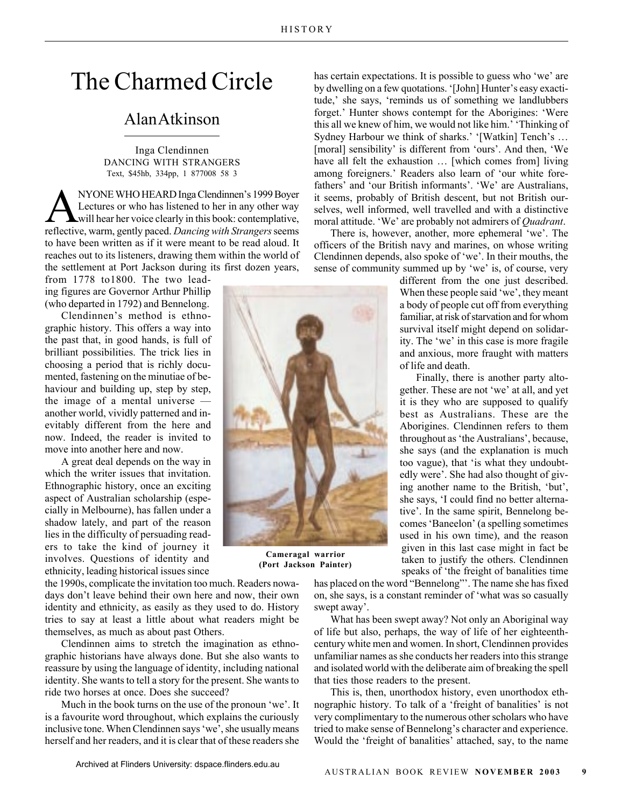## The Charmed Circle

## Alan Atkinson

Inga Clendinnen DANCING WITH STRANGERS Text, \$45hb, 334pp, 1 877008 58 3

NYONE WHO HEARD Inga Clendinnen's 1999 Boyer<br>Lectures or who has listened to her in any other way<br>will hear her voice clearly in this book: contemplative,<br>reflective, werm, gently paced, Dancing with Strangers seems Lectures or who has listened to her in any other way reflective, warm, gently paced. *Dancing with Strangers* seems to have been written as if it were meant to be read aloud. It reaches out to its listeners, drawing them within the world of the settlement at Port Jackson during its first dozen years,

from 1778 to1800. The two leading figures are Governor Arthur Phillip (who departed in 1792) and Bennelong.

Clendinnen's method is ethnographic history. This offers a way into the past that, in good hands, is full of brilliant possibilities. The trick lies in choosing a period that is richly documented, fastening on the minutiae of behaviour and building up, step by step, the image of a mental universe another world, vividly patterned and inevitably different from the here and now. Indeed, the reader is invited to move into another here and now.

A great deal depends on the way in which the writer issues that invitation. Ethnographic history, once an exciting aspect of Australian scholarship (especially in Melbourne), has fallen under a shadow lately, and part of the reason lies in the difficulty of persuading readers to take the kind of journey it involves. Questions of identity and ethnicity, leading historical issues since

the 1990s, complicate the invitation too much. Readers nowadays don't leave behind their own here and now, their own identity and ethnicity, as easily as they used to do. History tries to say at least a little about what readers might be themselves, as much as about past Others.

Clendinnen aims to stretch the imagination as ethnographic historians have always done. But she also wants to reassure by using the language of identity, including national identity. She wants to tell a story for the present. She wants to ride two horses at once. Does she succeed?

Much in the book turns on the use of the pronoun 'we'. It is a favourite word throughout, which explains the curiously inclusive tone. When Clendinnen says 'we', she usually means herself and her readers, and it is clear that of these readers she has certain expectations. It is possible to guess who 'we' are by dwelling on a few quotations. '[John] Hunter's easy exactitude,' she says, 'reminds us of something we landlubbers forget.' Hunter shows contempt for the Aborigines: 'Were this all we knew of him, we would not like him.' 'Thinking of Sydney Harbour we think of sharks.' '[Watkin] Tench's … [moral] sensibility' is different from 'ours'. And then, 'We have all felt the exhaustion ... [which comes from] living among foreigners.' Readers also learn of 'our white forefathers' and 'our British informants'. 'We' are Australians, it seems, probably of British descent, but not British ourselves, well informed, well travelled and with a distinctive moral attitude. 'We' are probably not admirers of *Quadrant*.

There is, however, another, more ephemeral 'we'. The officers of the British navy and marines, on whose writing Clendinnen depends, also spoke of 'we'. In their mouths, the sense of community summed up by 'we' is, of course, very

> different from the one just described. When these people said 'we', they meant a body of people cut off from everything familiar, at risk of starvation and for whom survival itself might depend on solidarity. The 'we' in this case is more fragile and anxious, more fraught with matters of life and death.

> Finally, there is another party altogether. These are not 'we' at all, and yet it is they who are supposed to qualify best as Australians. These are the Aborigines. Clendinnen refers to them throughout as 'the Australians', because, she says (and the explanation is much too vague), that 'is what they undoubtedly were'. She had also thought of giving another name to the British, 'but', she says, 'I could find no better alternative'. In the same spirit, Bennelong becomes 'Baneelon' (a spelling sometimes used in his own time), and the reason given in this last case might in fact be taken to justify the others. Clendinnen speaks of 'the freight of banalities time

has placed on the word "Bennelong"'. The name she has fixed on, she says, is a constant reminder of 'what was so casually swept away'.

What has been swept away? Not only an Aboriginal way of life but also, perhaps, the way of life of her eighteenthcentury white men and women. In short, Clendinnen provides unfamiliar names as she conducts her readers into this strange and isolated world with the deliberate aim of breaking the spell that ties those readers to the present.

This is, then, unorthodox history, even unorthodox ethnographic history. To talk of a 'freight of banalities' is not very complimentary to the numerous other scholars who have tried to make sense of Bennelong's character and experience. Would the 'freight of banalities' attached, say, to the name



**Cameragal warrior (Port Jackson Painter)**